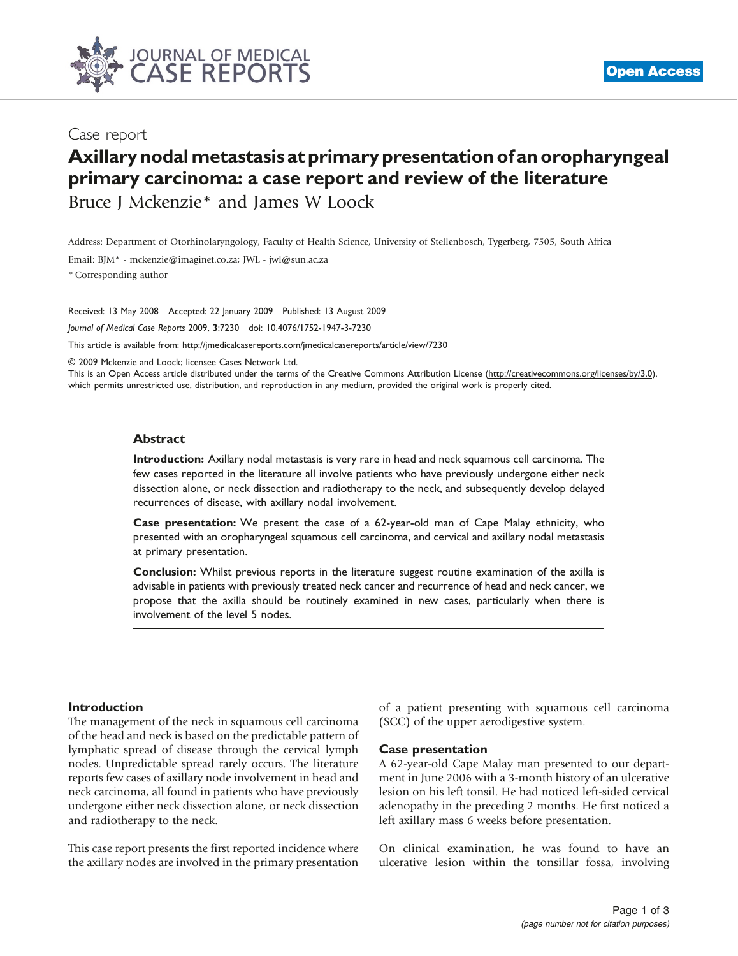

## Case report

# Axillary nodal metastasis at primary presentation of an oropharyngeal primary carcinoma: a case report and review of the literature

Bruce J Mckenzie\* and James W Loock

Address: Department of Otorhinolaryngology, Faculty of Health Science, University of Stellenbosch, Tygerberg, 7505, South Africa

Email: BJM\* - [mckenzie@imaginet.co.za](mailto:mckenzie@imaginet.co.za); JWL - [jwl@sun.ac.za](mailto:jwl@sun.ac.za)

\* Corresponding author

Received: 13 May 2008 Accepted: 22 January 2009 Published: 13 August 2009

Journal of Medical Case Reports 2009, 3:7230 doi: 10.4076/1752-1947-3-7230

This article is available from:<http://jmedicalcasereports.com/jmedicalcasereports/article/view/7230>

© 2009 Mckenzie and Loock; licensee Cases Network Ltd.

This is an Open Access article distributed under the terms of the Creative Commons Attribution License [\(http://creativecommons.org/licenses/by/3.0\)](http://creativecommons.org/licenses/by/3.0), which permits unrestricted use, distribution, and reproduction in any medium, provided the original work is properly cited.

#### Abstract

Introduction: Axillary nodal metastasis is very rare in head and neck squamous cell carcinoma. The few cases reported in the literature all involve patients who have previously undergone either neck dissection alone, or neck dissection and radiotherapy to the neck, and subsequently develop delayed recurrences of disease, with axillary nodal involvement.

Case presentation: We present the case of a 62-year-old man of Cape Malay ethnicity, who presented with an oropharyngeal squamous cell carcinoma, and cervical and axillary nodal metastasis at primary presentation.

Conclusion: Whilst previous reports in the literature suggest routine examination of the axilla is advisable in patients with previously treated neck cancer and recurrence of head and neck cancer, we propose that the axilla should be routinely examined in new cases, particularly when there is involvement of the level 5 nodes.

#### Introduction

The management of the neck in squamous cell carcinoma of the head and neck is based on the predictable pattern of lymphatic spread of disease through the cervical lymph nodes. Unpredictable spread rarely occurs. The literature reports few cases of axillary node involvement in head and neck carcinoma, all found in patients who have previously undergone either neck dissection alone, or neck dissection and radiotherapy to the neck.

This case report presents the first reported incidence where the axillary nodes are involved in the primary presentation

of a patient presenting with squamous cell carcinoma (SCC) of the upper aerodigestive system.

#### Case presentation

A 62-year-old Cape Malay man presented to our department in June 2006 with a 3-month history of an ulcerative lesion on his left tonsil. He had noticed left-sided cervical adenopathy in the preceding 2 months. He first noticed a left axillary mass 6 weeks before presentation.

On clinical examination, he was found to have an ulcerative lesion within the tonsillar fossa, involving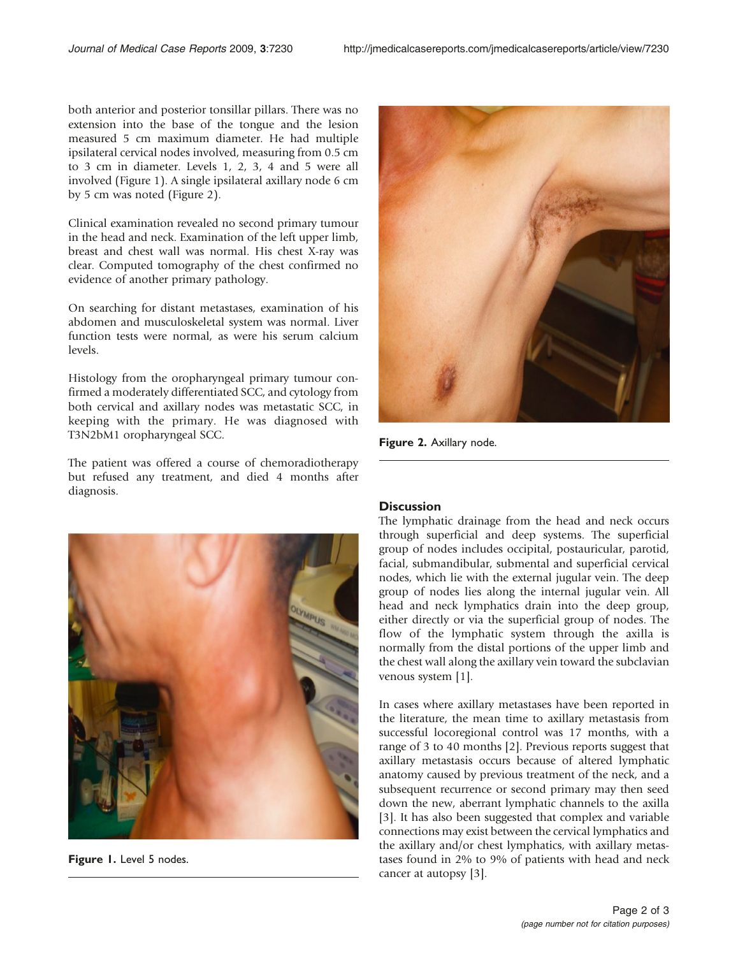both anterior and posterior tonsillar pillars. There was no extension into the base of the tongue and the lesion measured 5 cm maximum diameter. He had multiple ipsilateral cervical nodes involved, measuring from 0.5 cm to 3 cm in diameter. Levels 1, 2, 3, 4 and 5 were all involved (Figure 1). A single ipsilateral axillary node 6 cm by 5 cm was noted (Figure 2).

Clinical examination revealed no second primary tumour in the head and neck. Examination of the left upper limb, breast and chest wall was normal. His chest X-ray was clear. Computed tomography of the chest confirmed no evidence of another primary pathology.

On searching for distant metastases, examination of his abdomen and musculoskeletal system was normal. Liver function tests were normal, as were his serum calcium levels.

Histology from the oropharyngeal primary tumour confirmed a moderately differentiated SCC, and cytology from both cervical and axillary nodes was metastatic SCC, in keeping with the primary. He was diagnosed with T3N2bM1 oropharyngeal SCC.

The patient was offered a course of chemoradiotherapy but refused any treatment, and died 4 months after diagnosis.



Figure 1. Level 5 nodes.



Figure 2. Axillary node.

#### **Discussion**

The lymphatic drainage from the head and neck occurs through superficial and deep systems. The superficial group of nodes includes occipital, postauricular, parotid, facial, submandibular, submental and superficial cervical nodes, which lie with the external jugular vein. The deep group of nodes lies along the internal jugular vein. All head and neck lymphatics drain into the deep group, either directly or via the superficial group of nodes. The flow of the lymphatic system through the axilla is normally from the distal portions of the upper limb and the chest wall along the axillary vein toward the subclavian venous system [[1](#page-2-0)].

In cases where axillary metastases have been reported in the literature, the mean time to axillary metastasis from successful locoregional control was 17 months, with a range of 3 to 40 months [[2\]](#page-2-0). Previous reports suggest that axillary metastasis occurs because of altered lymphatic anatomy caused by previous treatment of the neck, and a subsequent recurrence or second primary may then seed down the new, aberrant lymphatic channels to the axilla [[3](#page-2-0)]. It has also been suggested that complex and variable connections may exist between the cervical lymphatics and the axillary and/or chest lymphatics, with axillary metastases found in 2% to 9% of patients with head and neck cancer at autopsy [\[3\]](#page-2-0).